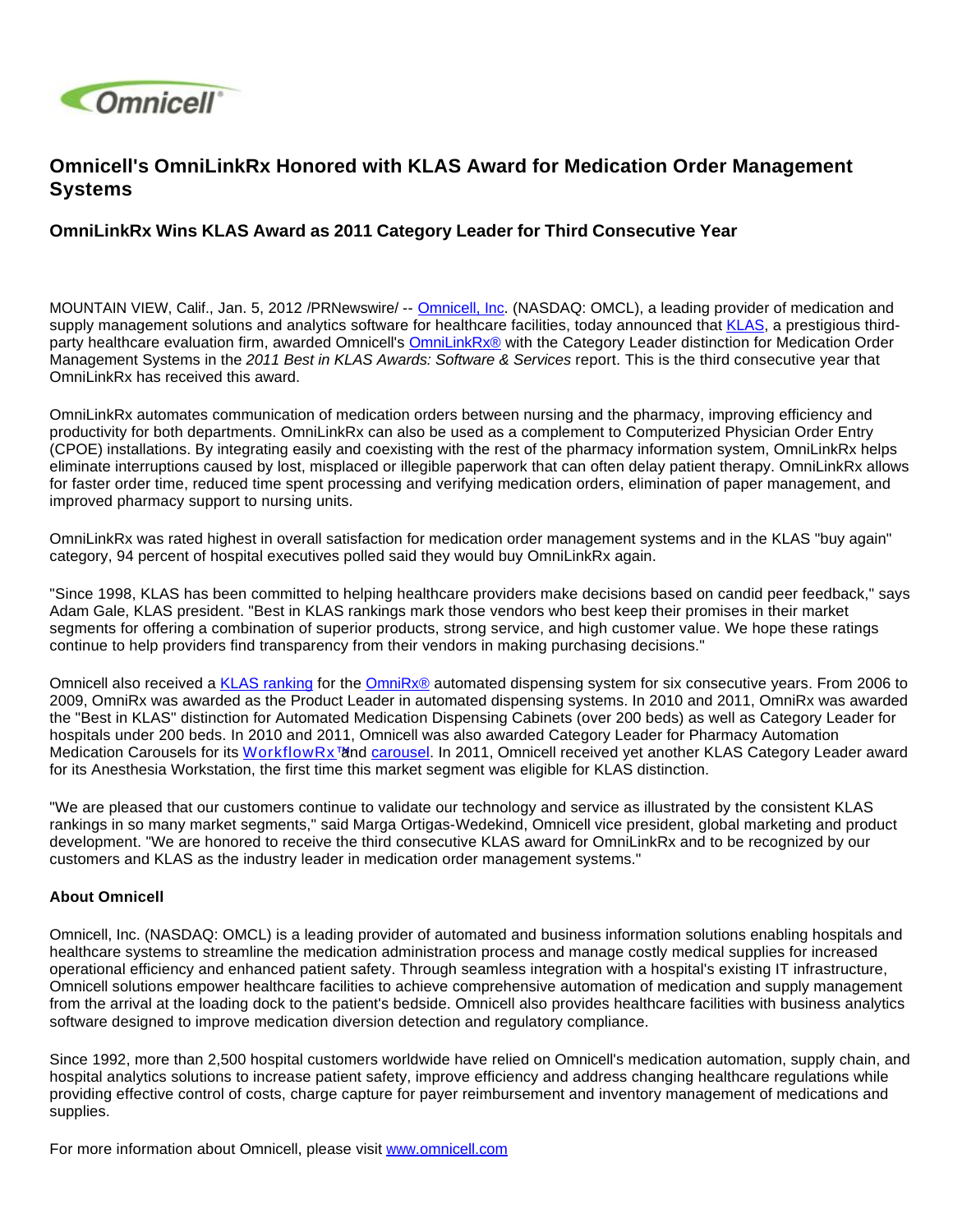

## **Omnicell's OmniLinkRx Honored with KLAS Award for Medication Order Management Systems**

## **OmniLinkRx Wins KLAS Award as 2011 Category Leader for Third Consecutive Year**

MOUNTAIN VIEW, Calif., Jan. 5, 2012 /PRNewswire/ -- [Omnicell, Inc](http://www.omnicell.com/). (NASDAQ: OMCL), a leading provider of medication and supply management solutions and analytics software for healthcare facilities, today announced that [KLAS](http://www.klasresearch.com/), a prestigious thirdparty healthcare evaluation firm, awarded Omnicell's **[OmniLinkRx®](http://www.omnicell.com/en/Products/Central_Pharmacy_Automation/OmniLinkRx_Medication_Order_Management_System.aspx)** with the Category Leader distinction for Medication Order Management Systems in the 2011 Best in KLAS Awards: Software & Services report. This is the third consecutive year that OmniLinkRx has received this award.

OmniLinkRx automates communication of medication orders between nursing and the pharmacy, improving efficiency and productivity for both departments. OmniLinkRx can also be used as a complement to Computerized Physician Order Entry (CPOE) installations. By integrating easily and coexisting with the rest of the pharmacy information system, OmniLinkRx helps eliminate interruptions caused by lost, misplaced or illegible paperwork that can often delay patient therapy. OmniLinkRx allows for faster order time, reduced time spent processing and verifying medication orders, elimination of paper management, and improved pharmacy support to nursing units.

OmniLinkRx was rated highest in overall satisfaction for medication order management systems and in the KLAS "buy again" category, 94 percent of hospital executives polled said they would buy OmniLinkRx again.

"Since 1998, KLAS has been committed to helping healthcare providers make decisions based on candid peer feedback," says Adam Gale, KLAS president. "Best in KLAS rankings mark those vendors who best keep their promises in their market segments for offering a combination of superior products, strong service, and high customer value. We hope these ratings continue to help providers find transparency from their vendors in making purchasing decisions."

Omnicell also received a [KLAS ranking](http://www.omnicell.com/News_and_Events/Press_Releases/Omnicells_OmniRx_Automated_Medication_Dispensing_System_Receives_2011_Best_in_KLAS_Award.aspx) for the [OmniRx®](http://www.omnicell.com/Products/Medication_Dispensing/Automated_Medication_Dispensing_Cabinets.aspx) automated dispensing system for six consecutive years. From 2006 to 2009, OmniRx was awarded as the Product Leader in automated dispensing systems. In 2010 and 2011, OmniRx was awarded the "Best in KLAS" distinction for Automated Medication Dispensing Cabinets (over 200 beds) as well as Category Leader for hospitals under 200 beds. In 2010 and 2011, Omnicell was also awarded Category Leader for Pharmacy Automation Medication Carousels for its WorkflowRx<sup>™</sup> and [carousel](http://www.omnicell.com/Products/Central_Pharmacy_Automation/WorkflowRx_System/Inventory_Management_Carousel.aspx). In 2011, Omnicell received yet another KLAS Category Leader award for its Anesthesia Workstation, the first time this market segment was eligible for KLAS distinction.

"We are pleased that our customers continue to validate our technology and service as illustrated by the consistent KLAS rankings in so many market segments," said Marga Ortigas-Wedekind, Omnicell vice president, global marketing and product development. "We are honored to receive the third consecutive KLAS award for OmniLinkRx and to be recognized by our customers and KLAS as the industry leader in medication order management systems."

## **About Omnicell**

Omnicell, Inc. (NASDAQ: OMCL) is a leading provider of automated and business information solutions enabling hospitals and healthcare systems to streamline the medication administration process and manage costly medical supplies for increased operational efficiency and enhanced patient safety. Through seamless integration with a hospital's existing IT infrastructure, Omnicell solutions empower healthcare facilities to achieve comprehensive automation of medication and supply management from the arrival at the loading dock to the patient's bedside. Omnicell also provides healthcare facilities with business analytics software designed to improve medication diversion detection and regulatory compliance.

Since 1992, more than 2,500 hospital customers worldwide have relied on Omnicell's medication automation, supply chain, and hospital analytics solutions to increase patient safety, improve efficiency and address changing healthcare regulations while providing effective control of costs, charge capture for payer reimbursement and inventory management of medications and supplies.

For more information about Omnicell, please visit [www.omnicell.com](http://www.omnicell.com/)